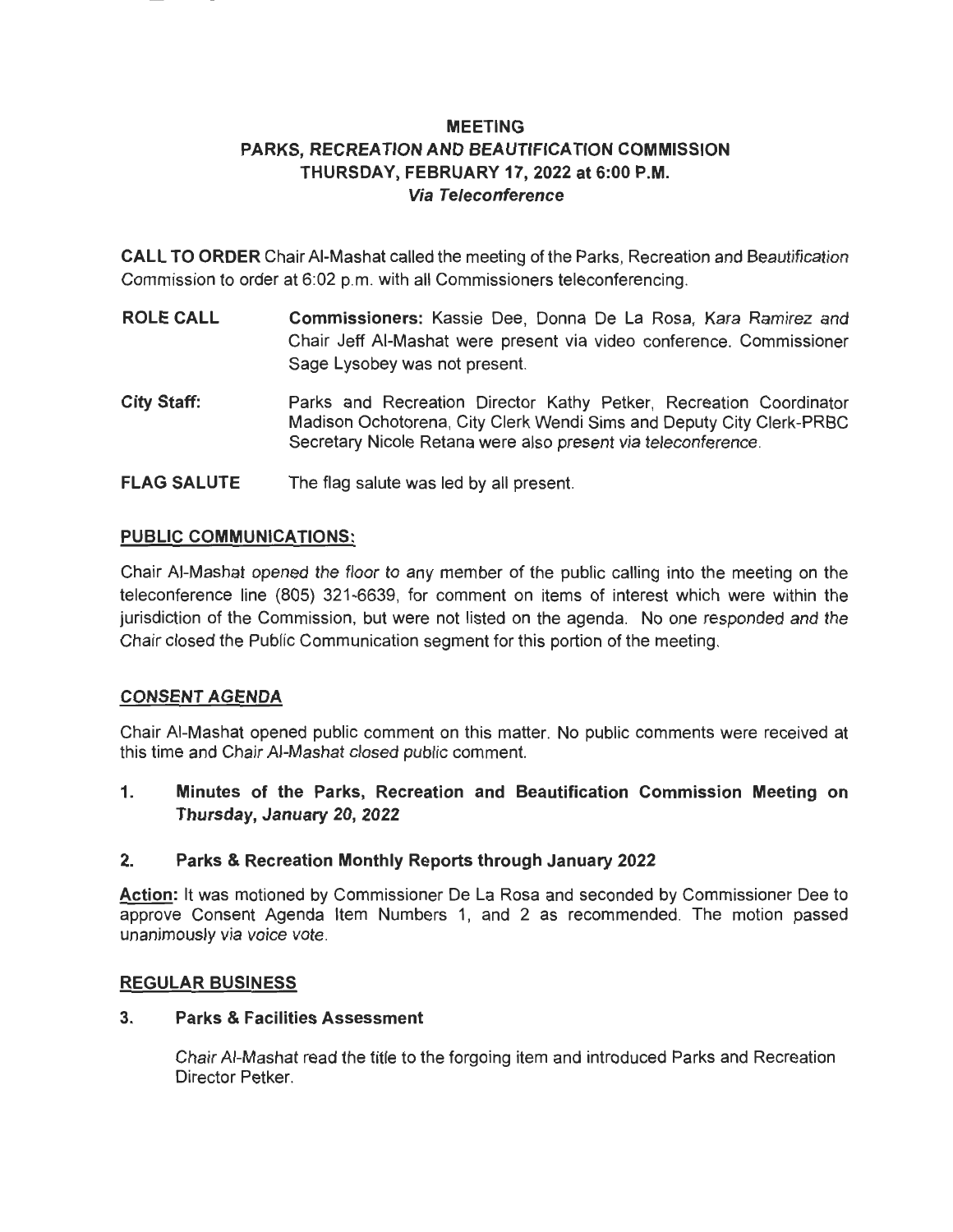# **MEETING PARKS, RECREATION AND BEAUTIFICATION COMMISSION THURSDAY, FEBRUARY 17, 2022 at 6:00 P.M. Via Teleconference**

**CALL TO ORDER** Chair AI-Mashat called the meeting of the Parks, Recreation and Beautification Commission to order at 6:02 p.m. with all Commissioners teleconferencing.

- **ROLE CALL Commissioners:** Kassie Dee, Donna De La Rosa, Kara Ramirez and Chair Jeff AI-Mashat were present via video conference. Commissioner Sage Lysobey was not present.
- **City Staff:**  Parks and Recreation Director Kathy Petker, Recreation Coordinator Madison Ochotorena, City Clerk Wendi Sims and Deputy City Clerk-PRBC Secretary Nicole Retana were also present via teleconference.
- **FLAG SALUTE**  The flag salute was led by all present.

## **PUBLIC COMMUNICATIONS:**

Chair AI-Mashat opened the floor to any member of the public calling into the meeting on the teleconference line (805) 321-6639, for comment on items of interest which were within the jurisdiction of the Commission, but were not listed on the agenda. No one responded and the Chair closed the Public Communication segment for this portion of the meeting.

## **CONSENT AGENDA**

Chair AI-Mashat opened public comment on this matter. No public comments were received at this time and Chair AI-Mashat closed public comment.

**1. Minutes of the Parks, Recreation and Beautification Commission Meeting on Thursday, January 20, 2022** 

## **2. Parks & Recreation Monthly Reports through January 2022**

**Action:** It was motioned by Commissioner De La Rosa and seconded by Commissioner Dee to approve Consent Agenda Item Numbers 1, and 2 as recommended. The motion passed unanimously via voice vote.

## **REGULAR BUSINESS**

## **3. Parks & Facilities Assessment**

Chair AI-Mashat read the title to the forgoing item and introduced Parks and Recreation Director Petker.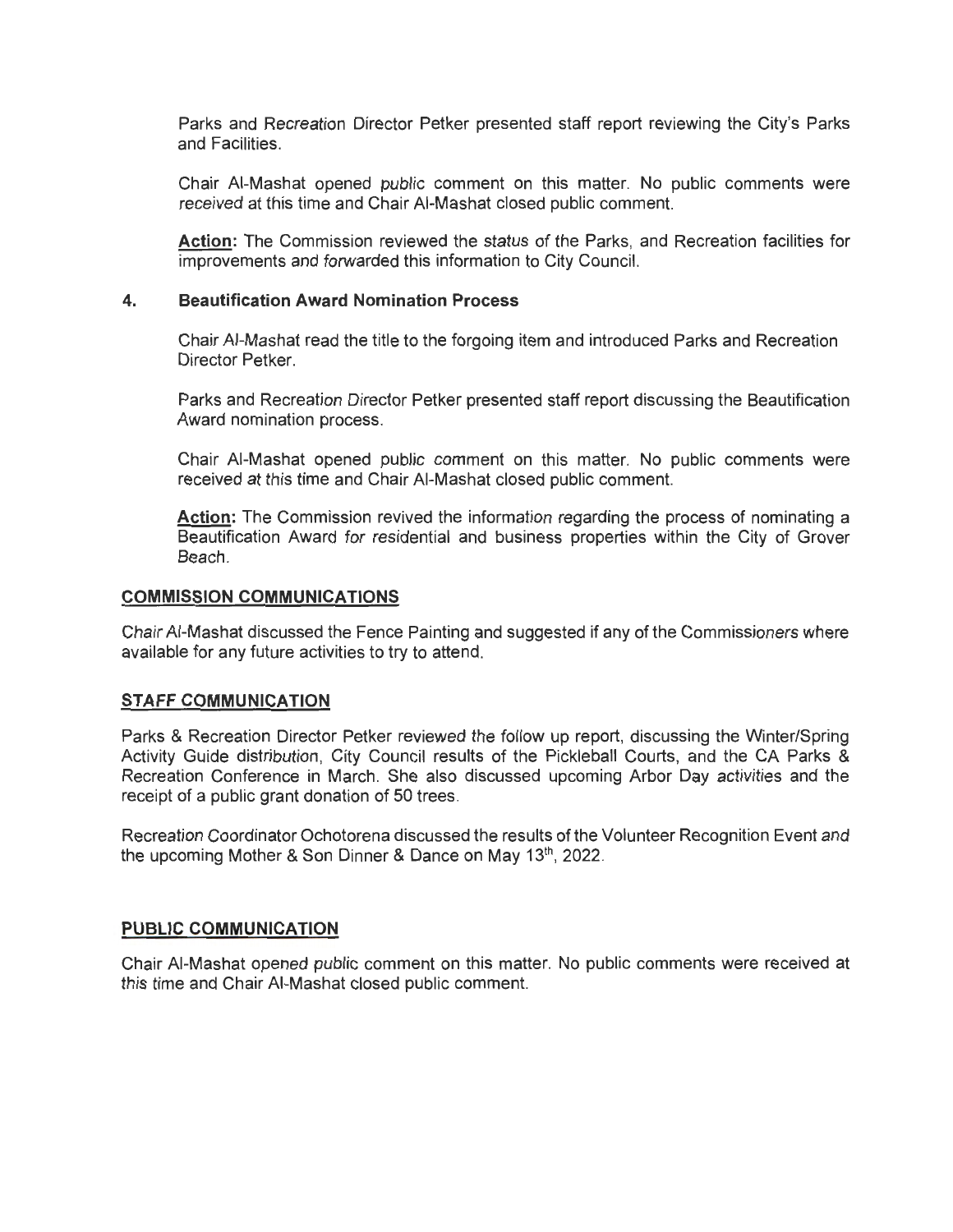Parks and Recreation Director Petker presented staff report reviewing the City's Parks and Facilities.

Chair AI-Mashat opened public comment on this matter. No public comments were received at this time and Chair AI-Mashat closed public comment.

**Action:** The Commission reviewed the status of the Parks, and Recreation facilities for improvements and forwarded this information to City Council.

#### **4. Beautification Award Nomination Process**

Chair AI-Mashat read the title to the forgoing item and introduced Parks and Recreation Director Petker.

Parks and Recreation Director Petker presented staff report discussing the Beautification Award nomination process.

Chair AI-Mashat opened public comment on this matter. No public comments were received at this time and Chair AI-Mashat closed public comment.

**Action:** The Commission revived the information regarding the process of nominating a Beautification Award for residential and business properties within the City of Grover Beach.

#### **COMMISSION COMMUNICATIONS**

Chair AI-Mashat discussed the Fence Painting and suggested if any of the Commissioners where available for any future activities to try to attend.

#### **STAFF COMMUNICATION**

Parks & Recreation Director Petker reviewed the follow up report, discussing the Winter/Spring Activity Guide distribution, City Council results of the Pickleball Courts, and the CA Parks & Recreation Conference in March. She also discussed upcoming Arbor Day activities and the receipt of a public grant donation of 50 trees.

Recreation Coordinator Ochotorena discussed the results of the Volunteer Recognition Event and the upcoming Mother & Son Dinner & Dance on May 13<sup>th</sup>, 2022.

#### **PUBLIC COMMUNICATION**

Chair AI-Mashat opened public comment on this matter. No public comments were received at this time and Chair AI-Mashat closed public comment.